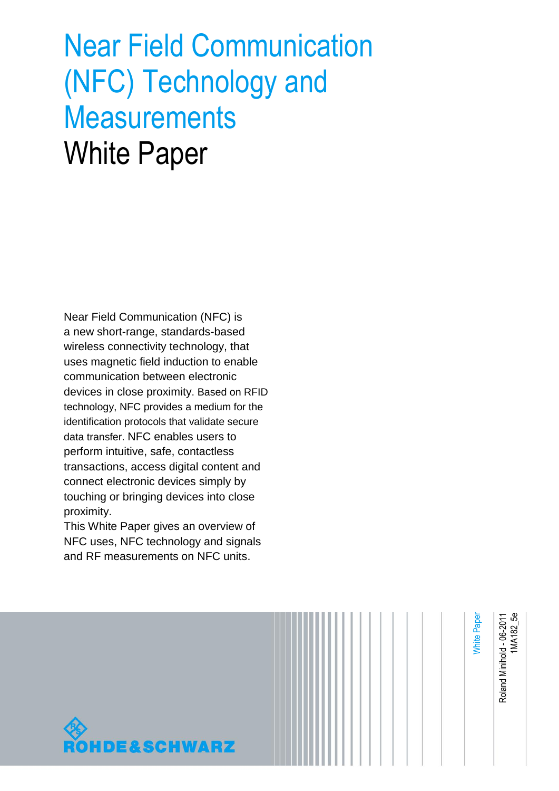# Near Field Communication (NFC) Technology and **Measurements** White Paper

Near Field Communication (NFC) is a new short-range, standards-based wireless connectivity technology, that uses magnetic field induction to enable communication between electronic devices in close proximity. Based on RFID technology, NFC provides a medium for the identification protocols that validate secure data transfer. NFC enables users to perform intuitive, safe, contactless transactions, access digital content and connect electronic devices simply by touching or bringing devices into close proximity.

This White Paper gives an overview of NFC uses, NFC technology and signals and RF measurements on NFC units.

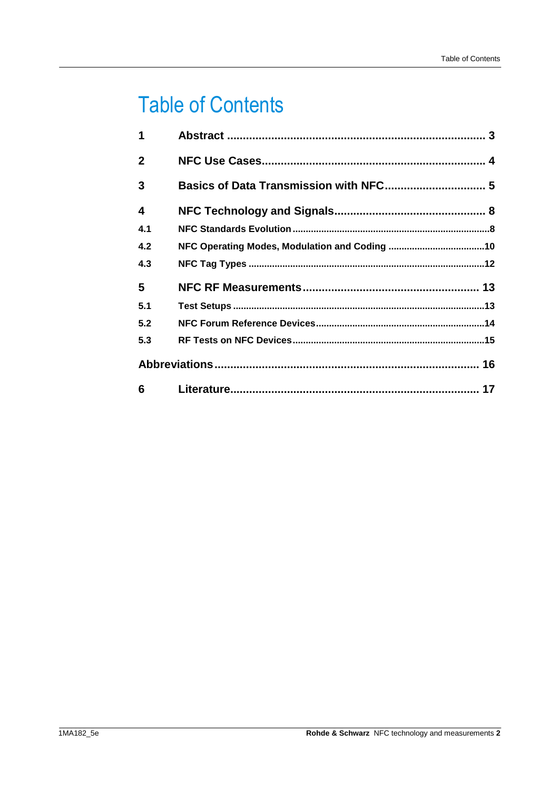## **Table of Contents**

| 1              |    |  |  |  |
|----------------|----|--|--|--|
| $\overline{2}$ |    |  |  |  |
| 3              |    |  |  |  |
| 4              |    |  |  |  |
| 4.1            |    |  |  |  |
| 4.2            |    |  |  |  |
| 4.3            |    |  |  |  |
| 5              |    |  |  |  |
| 5.1            |    |  |  |  |
| 5.2            |    |  |  |  |
| 5.3            |    |  |  |  |
|                |    |  |  |  |
| 6              | 17 |  |  |  |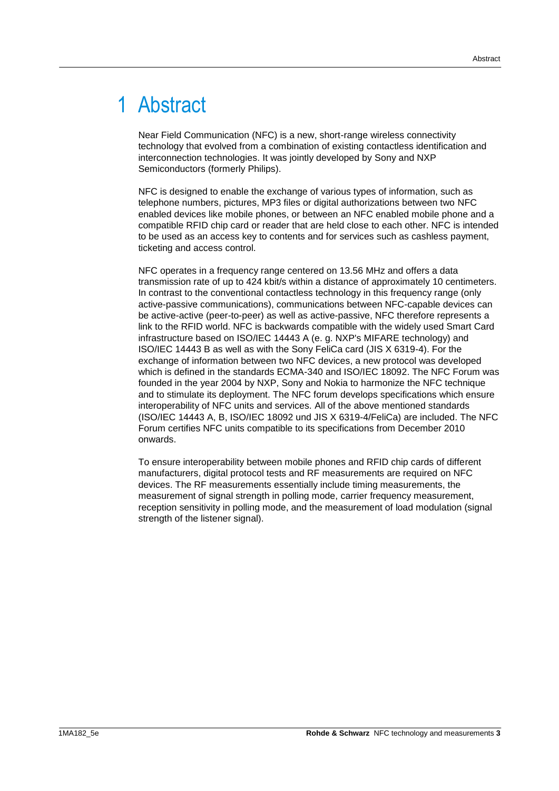## <span id="page-2-0"></span>1 Abstract

Near Field Communication (NFC) is a new, short-range wireless connectivity technology that evolved from a combination of existing contactless identification and interconnection technologies. It was jointly developed by Sony and NXP Semiconductors (formerly Philips).

NFC is designed to enable the exchange of various types of information, such as telephone numbers, pictures, MP3 files or digital authorizations between two NFC enabled devices like mobile phones, or between an NFC enabled mobile phone and a compatible RFID chip card or reader that are held close to each other. NFC is intended to be used as an access key to contents and for services such as cashless payment, ticketing and access control.

NFC operates in a frequency range centered on 13.56 MHz and offers a data transmission rate of up to 424 kbit/s within a distance of approximately 10 centimeters. In contrast to the conventional contactless technology in this frequency range (only active-passive communications), communications between NFC-capable devices can be active-active (peer-to-peer) as well as active-passive, NFC therefore represents a link to the RFID world. NFC is backwards compatible with the widely used Smart Card infrastructure based on ISO/IEC 14443 A (e. g. NXP's MIFARE technology) and ISO/IEC 14443 B as well as with the Sony FeliCa card (JIS X 6319-4). For the exchange of information between two NFC devices, a new protocol was developed which is defined in the standards ECMA-340 and ISO/IEC 18092. The NFC Forum was founded in the year 2004 by NXP, Sony and Nokia to harmonize the NFC technique and to stimulate its deployment. The NFC forum develops specifications which ensure interoperability of NFC units and services. All of the above mentioned standards (ISO/IEC 14443 A, B, ISO/IEC 18092 und JIS X 6319-4/FeliCa) are included. The NFC Forum certifies NFC units compatible to its specifications from December 2010 onwards.

To ensure interoperability between mobile phones and RFID chip cards of different manufacturers, digital protocol tests and RF measurements are required on NFC devices. The RF measurements essentially include timing measurements, the measurement of signal strength in polling mode, carrier frequency measurement, reception sensitivity in polling mode, and the measurement of load modulation (signal strength of the listener signal).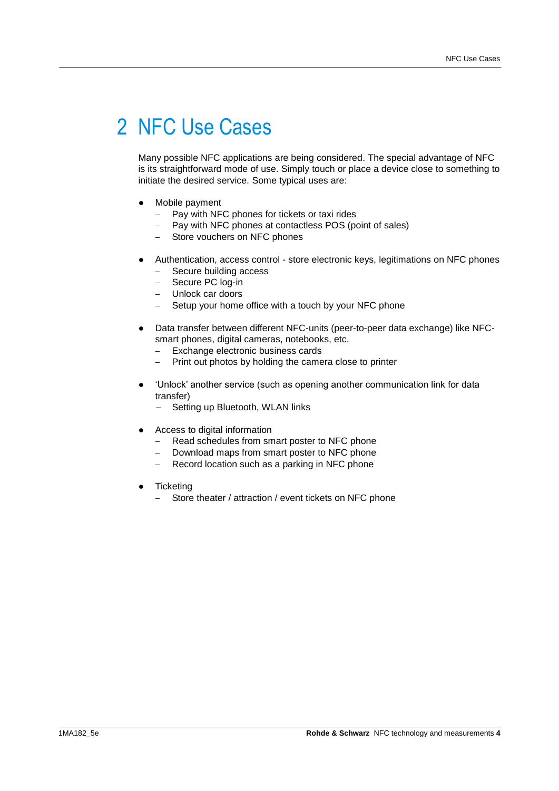## <span id="page-3-0"></span>2 NFC Use Cases

Many possible NFC applications are being considered. The special advantage of NFC is its straightforward mode of use. Simply touch or place a device close to something to initiate the desired service. Some typical uses are:

- Mobile payment
	- Pay with NFC phones for tickets or taxi rides
	- Pay with NFC phones at contactless POS (point of sales)
	- Store vouchers on NFC phones
- Authentication, access control store electronic keys, legitimations on NFC phones
	- Secure building access
	- Secure PC log-in
	- Unlock car doors
	- Setup your home office with a touch by your NFC phone
- Data transfer between different NFC-units (peer-to-peer data exchange) like NFCsmart phones, digital cameras, notebooks, etc.
	- Exchange electronic business cards
	- Print out photos by holding the camera close to printer
- 'Unlock' another service (such as opening another communication link for data transfer)
	- Setting up Bluetooth, WLAN links
- Access to digital information
	- Read schedules from smart poster to NFC phone
	- Download maps from smart poster to NFC phone
	- Record location such as a parking in NFC phone
- **Ticketing** 
	- Store theater / attraction / event tickets on NFC phone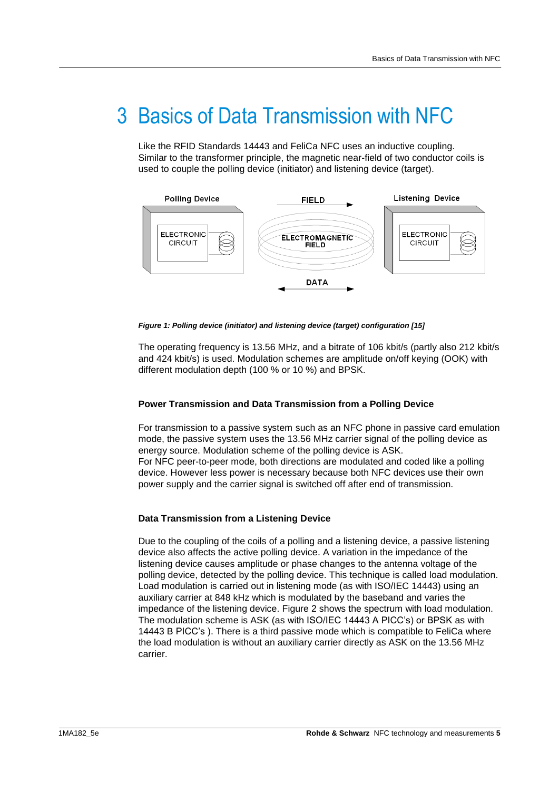## <span id="page-4-0"></span>3 Basics of Data Transmission with NFC

Like the RFID Standards 14443 and FeliCa NFC uses an inductive coupling. Similar to the transformer principle, the magnetic near-field of two conductor coils is used to couple the polling device (initiator) and listening device (target).



*Figure 1: Polling device (initiator) and listening device (target) configuration [\[15\]](#page-16-1)*

The operating frequency is 13.56 MHz, and a bitrate of 106 kbit/s (partly also 212 kbit/s and 424 kbit/s) is used. Modulation schemes are amplitude on/off keying (OOK) with different modulation depth (100 % or 10 %) and BPSK.

### **Power Transmission and Data Transmission from a Polling Device**

For transmission to a passive system such as an NFC phone in passive card emulation mode, the passive system uses the 13.56 MHz carrier signal of the polling device as energy source. Modulation scheme of the polling device is ASK. For NFC peer-to-peer mode, both directions are modulated and coded like a polling device. However less power is necessary because both NFC devices use their own power supply and the carrier signal is switched off after end of transmission.

### **Data Transmission from a Listening Device**

Due to the coupling of the coils of a polling and a listening device, a passive listening device also affects the active polling device. A variation in the impedance of the listening device causes amplitude or phase changes to the antenna voltage of the polling device, detected by the polling device. This technique is called load modulation. Load modulation is carried out in listening mode (as with ISO/IEC 14443) using an auxiliary carrier at 848 kHz which is modulated by the baseband and varies the impedance of the listening device. [Figure 2](#page-5-0) shows the spectrum with load modulation. The modulation scheme is ASK (as with ISO/IEC 14443 A PICC's) or BPSK as with 14443 B PICC's ). There is a third passive mode which is compatible to FeliCa where the load modulation is without an auxiliary carrier directly as ASK on the 13.56 MHz carrier.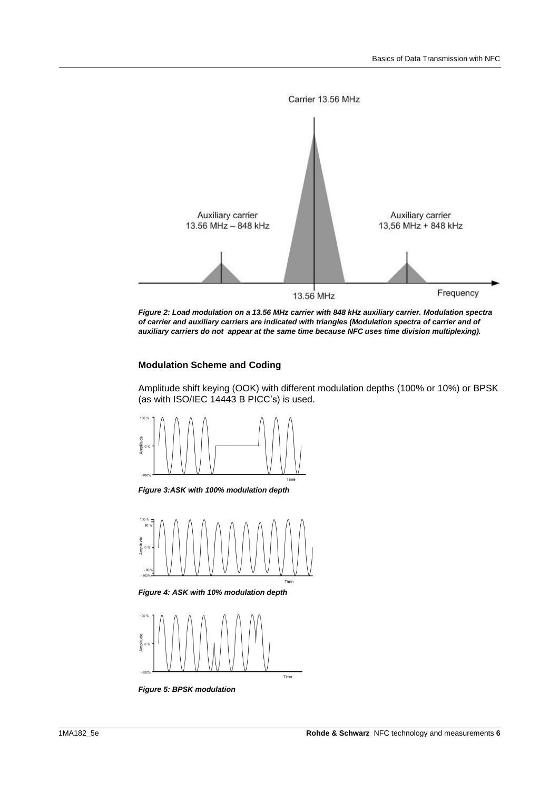

<span id="page-5-0"></span>

### **Modulation Scheme and Coding**

Amplitude shift keying (OOK) with different modulation depths (100% or 10%) or BPSK (as with ISO/IEC 14443 B PICC's) is used.



*Figure 3:ASK with 100% modulation depth*



*Figure 4: ASK with 10% modulation depth*



*Figure 5: BPSK modulation*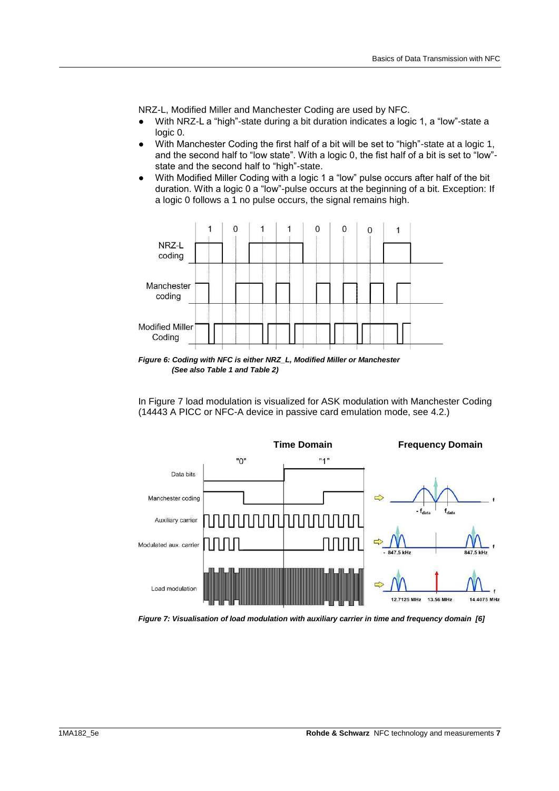NRZ-L, Modified Miller and Manchester Coding are used by NFC.

- With NRZ-L a "high"-state during a bit duration indicates a logic 1, a "low"-state a logic 0.
- With Manchester Coding the first half of a bit will be set to "high"-state at a logic 1, and the second half to "low state". With a logic 0, the fist half of a bit is set to "low" state and the second half to "high"-state.
- With Modified Miller Coding with a logic 1 a "low" pulse occurs after half of the bit duration. With a logic 0 a "low"-pulse occurs at the beginning of a bit. Exception: If a logic 0 follows a 1 no pulse occurs, the signal remains high.



*Figure 6: Coding with NFC is either NRZ\_L, Modified Miller or Manchester (See als[o Table 1](#page-10-0) an[d Table 2\)](#page-11-1)* 

In [Figure 7](#page-6-0) load modulation is visualized for ASK modulation with Manchester Coding (14443 A PICC or NFC-A device in passive card emulation mode, see [4.2.](#page-9-0))



<span id="page-6-0"></span>*Figure 7: Visualisation of load modulation with auxiliary carrier in time and frequency domain [\[6\]](#page-16-2)*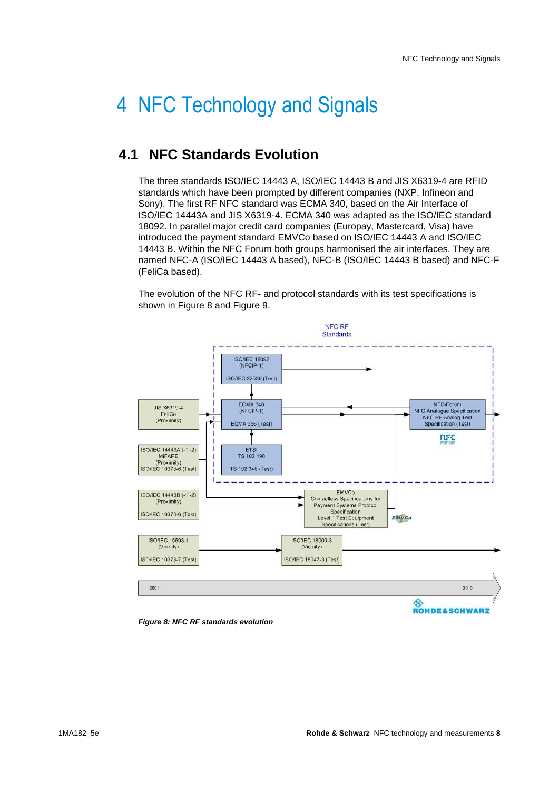## <span id="page-7-0"></span>4 NFC Technology and Signals

### <span id="page-7-1"></span>**4.1 NFC Standards Evolution**

The three standards ISO/IEC 14443 A, ISO/IEC 14443 B and JIS X6319-4 are RFID standards which have been prompted by different companies (NXP, Infineon and Sony). The first RF NFC standard was ECMA 340, based on the Air Interface of ISO/IEC 14443A and JIS X6319-4. ECMA 340 was adapted as the ISO/IEC standard 18092. In parallel major credit card companies (Europay, Mastercard, Visa) have introduced the payment standard EMVCo based on ISO/IEC 14443 A and ISO/IEC 14443 B. Within the NFC Forum both groups harmonised the air interfaces. They are named NFC-A (ISO/IEC 14443 A based), NFC-B (ISO/IEC 14443 B based) and NFC-F (FeliCa based).

The evolution of the NFC RF- and protocol standards with its test specifications is shown in [Figure 8](#page-7-2) and [Figure 9.](#page-8-0)



<span id="page-7-2"></span>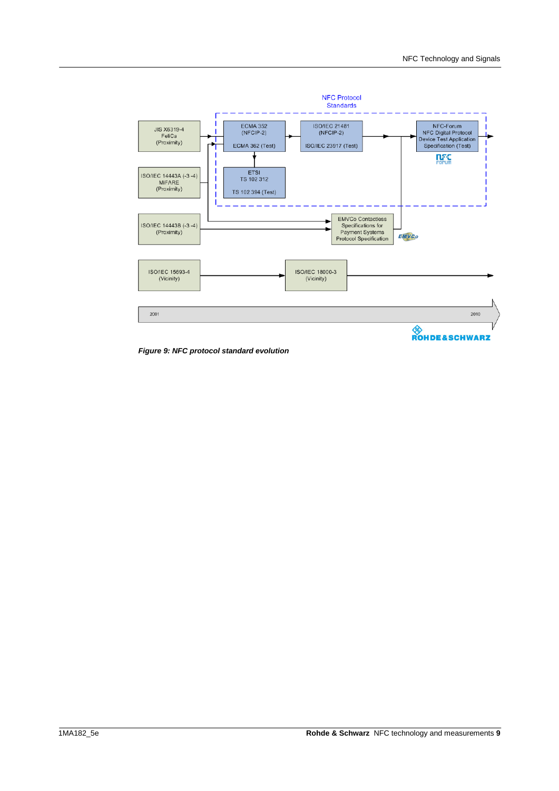

<span id="page-8-0"></span>*Figure 9: NFC protocol standard evolution*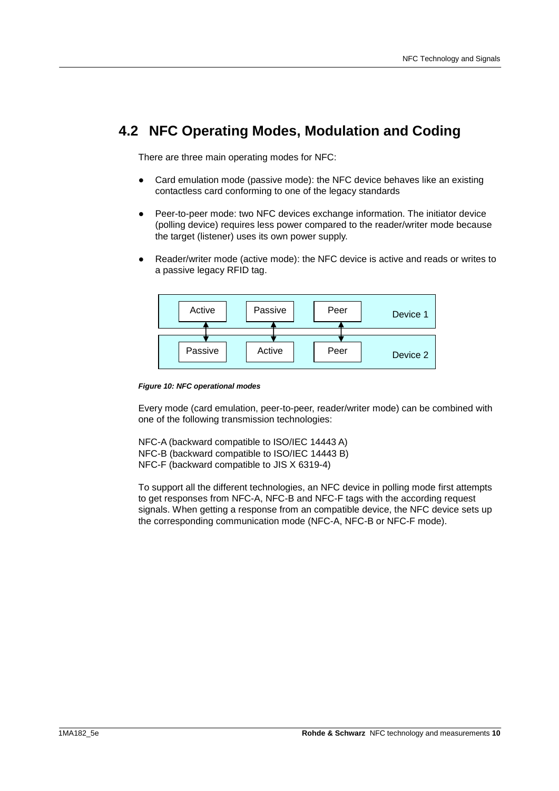### <span id="page-9-0"></span>**4.2 NFC Operating Modes, Modulation and Coding**

There are three main operating modes for NFC:

- Card emulation mode (passive mode): the NFC device behaves like an existing contactless card conforming to one of the legacy standards
- Peer-to-peer mode: two NFC devices exchange information. The initiator device (polling device) requires less power compared to the reader/writer mode because the target (listener) uses its own power supply.
- Reader/writer mode (active mode): the NFC device is active and reads or writes to a passive legacy RFID tag.



*Figure 10: NFC operational modes* 

Every mode (card emulation, peer-to-peer, reader/writer mode) can be combined with one of the following transmission technologies:

NFC-A (backward compatible to ISO/IEC 14443 A) NFC-B (backward compatible to ISO/IEC 14443 B) NFC-F (backward compatible to JIS X 6319-4)

To support all the different technologies, an NFC device in polling mode first attempts to get responses from NFC-A, NFC-B and NFC-F tags with the according request signals. When getting a response from an compatible device, the NFC device sets up the corresponding communication mode (NFC-A, NFC-B or NFC-F mode).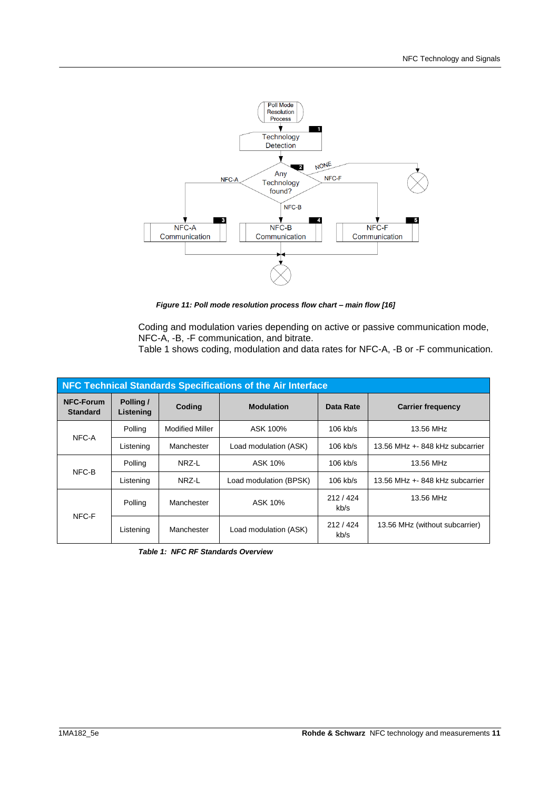

*Figure 11: Poll mode resolution process flow chart – main flow [\[16\]](#page-16-3)*

Coding and modulation varies depending on active or passive communication mode, NFC-A, -B, -F communication, and bitrate.

[Table 1](#page-10-0) shows coding, modulation and data rates for NFC-A, -B or -F communication.

| NFC Technical Standards Specifications of the Air Interface |                        |                        |                        |                 |                                |  |  |  |
|-------------------------------------------------------------|------------------------|------------------------|------------------------|-----------------|--------------------------------|--|--|--|
| <b>NFC-Forum</b><br><b>Standard</b>                         | Polling /<br>Listening | Coding                 | <b>Modulation</b>      | Data Rate       | <b>Carrier frequency</b>       |  |  |  |
| NFC-A                                                       | Polling                | <b>Modified Miller</b> | ASK 100%               | $106$ kb/s      | 13.56 MHz                      |  |  |  |
|                                                             | Listening              | Manchester             | Load modulation (ASK)  | $106$ kb/s      | 13.56 MHz + 848 kHz subcarrier |  |  |  |
| NFC-B                                                       | Polling                | NRZ-L                  | ASK 10%                | $106$ kb/s      | 13.56 MHz                      |  |  |  |
|                                                             | Listening              | NRZ-L                  | Load modulation (BPSK) | $106$ kb/s      | 13.56 MHz + 848 kHz subcarrier |  |  |  |
| NFC-F                                                       | Polling                | Manchester             | ASK 10%                | 212/424<br>kb/s | 13.56 MHz                      |  |  |  |
|                                                             | Listening              | Manchester             | Load modulation (ASK)  | 212/424<br>kb/s | 13.56 MHz (without subcarrier) |  |  |  |

<span id="page-10-0"></span>*Table 1: NFC RF Standards Overview*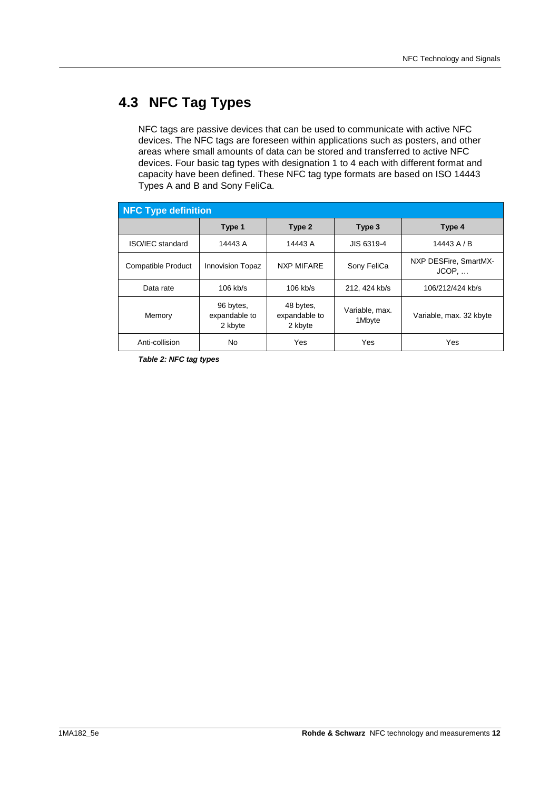## <span id="page-11-0"></span>**4.3 NFC Tag Types**

NFC tags are passive devices that can be used to communicate with active NFC devices. The NFC tags are foreseen within applications such as posters, and other areas where small amounts of data can be stored and transferred to active NFC devices. Four basic tag types with designation 1 to 4 each with different format and capacity have been defined. These NFC tag type formats are based on ISO 14443 Types A and B and Sony FeliCa.

| <b>NFC Type definition</b> |                                       |                                       |                          |                                |  |  |  |
|----------------------------|---------------------------------------|---------------------------------------|--------------------------|--------------------------------|--|--|--|
|                            | Type 1                                | Type 2                                | Type 3                   | Type 4                         |  |  |  |
| ISO/IEC standard           | 14443 A                               | 14443 A                               | JIS 6319-4               | 14443 A / B                    |  |  |  |
| <b>Compatible Product</b>  | <b>Innovision Topaz</b>               | <b>NXP MIFARE</b>                     | Sony FeliCa              | NXP DESFire, SmartMX-<br>JCOP, |  |  |  |
| Data rate                  | $106$ kb/s                            | $106$ kb/s                            | 212, 424 kb/s            | 106/212/424 kb/s               |  |  |  |
| Memory                     | 96 bytes.<br>expandable to<br>2 kbyte | 48 bytes,<br>expandable to<br>2 kbyte | Variable, max.<br>1Mbyte | Variable, max. 32 kbyte        |  |  |  |
| Anti-collision             | No                                    | Yes                                   | Yes                      | Yes                            |  |  |  |

<span id="page-11-1"></span>*Table 2: NFC tag types*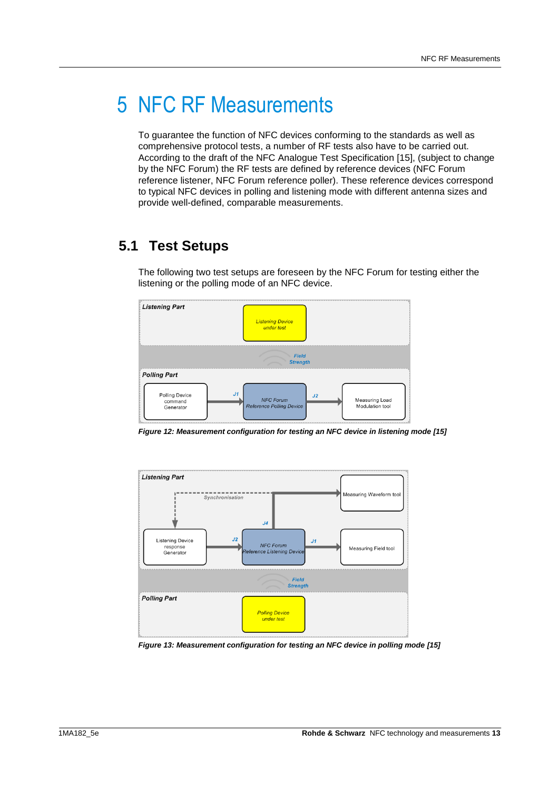## <span id="page-12-0"></span>5 NFC RF Measurements

To guarantee the function of NFC devices conforming to the standards as well as comprehensive protocol tests, a number of RF tests also have to be carried out. According to the draft of the NFC Analogue Test Specification [\[15\],](#page-16-1) (subject to change by the NFC Forum) the RF tests are defined by reference devices (NFC Forum reference listener, NFC Forum reference poller). These reference devices correspond to typical NFC devices in polling and listening mode with different antenna sizes and provide well-defined, comparable measurements.

## <span id="page-12-1"></span>**5.1 Test Setups**

The following two test setups are foreseen by the NFC Forum for testing either the listening or the polling mode of an NFC device.



*Figure 12: Measurement configuration for testing an NFC device in listening mode [\[15\]](#page-16-1)*



*Figure 13: Measurement configuration for testing an NFC device in polling mode [\[15\]](#page-16-1)*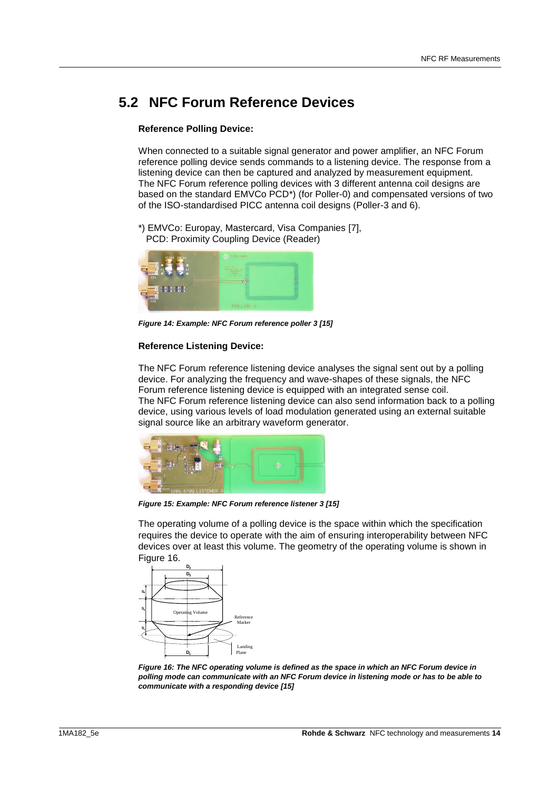### <span id="page-13-0"></span>**5.2 NFC Forum Reference Devices**

### **Reference Polling Device:**

When connected to a suitable signal generator and power amplifier, an NFC Forum reference polling device sends commands to a listening device. The response from a listening device can then be captured and analyzed by measurement equipment. The NFC Forum reference polling devices with 3 different antenna coil designs are based on the standard EMVCo PCD\*) (for Poller-0) and compensated versions of two of the ISO-standardised PICC antenna coil designs (Poller-3 and 6).

\*) EMVCo: Europay, Mastercard, Visa Companies [\[7\],](#page-16-4) PCD: Proximity Coupling Device (Reader)



*Figure 14: Example: NFC Forum reference poller 3 [\[15\]](#page-16-1)*

#### **Reference Listening Device:**

The NFC Forum reference listening device analyses the signal sent out by a polling device. For analyzing the frequency and wave-shapes of these signals, the NFC Forum reference listening device is equipped with an integrated sense coil. The NFC Forum reference listening device can also send information back to a polling device, using various levels of load modulation generated using an external suitable signal source like an arbitrary waveform generator.



*Figure 15: Example: NFC Forum reference listener 3 [\[15\]](#page-16-1)*

The operating volume of a polling device is the space within which the specification requires the device to operate with the aim of ensuring interoperability between NFC devices over at least this volume. The geometry of the operating volume is shown in [Figure 16.](#page-13-1)



<span id="page-13-1"></span>*Figure 16: The NFC operating volume is defined as the space in which an NFC Forum device in polling mode can communicate with an NFC Forum device in listening mode or has to be able to communicate with a responding device [\[15\]](#page-16-1)*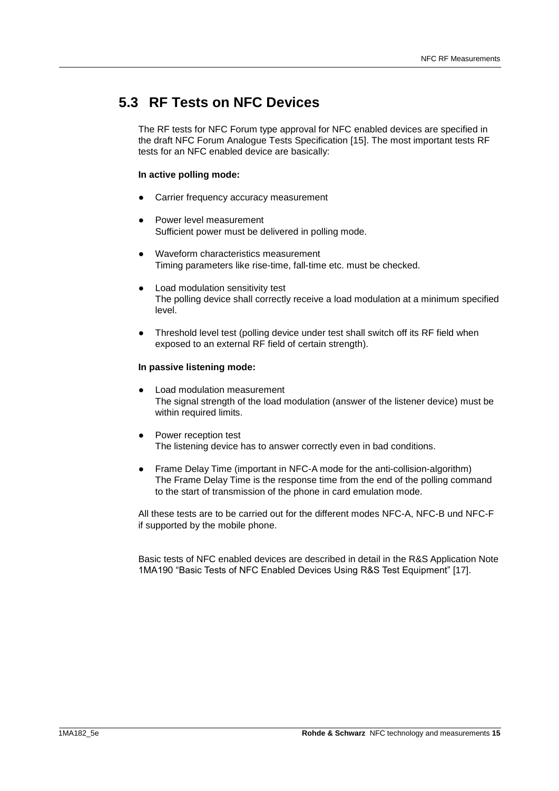### <span id="page-14-0"></span>**5.3 RF Tests on NFC Devices**

The RF tests for NFC Forum type approval for NFC enabled devices are specified in the draft NFC Forum Analogue Tests Specification [\[15\].](#page-16-1) The most important tests RF tests for an NFC enabled device are basically:

#### **In active polling mode:**

- Carrier frequency accuracy measurement
- Power level measurement Sufficient power must be delivered in polling mode.
- Waveform characteristics measurement Timing parameters like rise-time, fall-time etc. must be checked.
- Load modulation sensitivity test The polling device shall correctly receive a load modulation at a minimum specified level.
- Threshold level test (polling device under test shall switch off its RF field when exposed to an external RF field of certain strength).

#### **In passive listening mode:**

- **Load modulation measurement** The signal strength of the load modulation (answer of the listener device) must be within required limits.
- Power reception test The listening device has to answer correctly even in bad conditions.
- Frame Delay Time (important in NFC-A mode for the anti-collision-algorithm) The Frame Delay Time is the response time from the end of the polling command to the start of transmission of the phone in card emulation mode.

All these tests are to be carried out for the different modes NFC-A, NFC-B und NFC-F if supported by the mobile phone.

Basic tests of NFC enabled devices are described in detail in the R&S Application Note 1MA190 "Basic Tests of NFC Enabled Devices Using R&S Test Equipment" [17].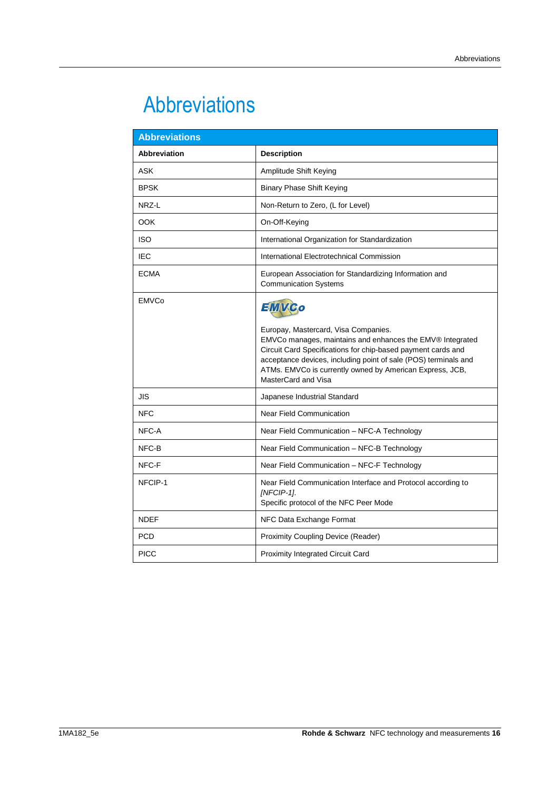## <span id="page-15-0"></span>Abbreviations

| <b>Abbreviations</b> |                                                                                                                                                                                                                                                                                                                                  |  |  |  |  |
|----------------------|----------------------------------------------------------------------------------------------------------------------------------------------------------------------------------------------------------------------------------------------------------------------------------------------------------------------------------|--|--|--|--|
| <b>Abbreviation</b>  | <b>Description</b>                                                                                                                                                                                                                                                                                                               |  |  |  |  |
| <b>ASK</b>           | Amplitude Shift Keying                                                                                                                                                                                                                                                                                                           |  |  |  |  |
| <b>BPSK</b>          | <b>Binary Phase Shift Keying</b>                                                                                                                                                                                                                                                                                                 |  |  |  |  |
| NRZ-L                | Non-Return to Zero, (L for Level)                                                                                                                                                                                                                                                                                                |  |  |  |  |
| <b>OOK</b>           | On-Off-Keying                                                                                                                                                                                                                                                                                                                    |  |  |  |  |
| <b>ISO</b>           | International Organization for Standardization                                                                                                                                                                                                                                                                                   |  |  |  |  |
| <b>IEC</b>           | International Electrotechnical Commission                                                                                                                                                                                                                                                                                        |  |  |  |  |
| <b>ECMA</b>          | European Association for Standardizing Information and<br><b>Communication Systems</b>                                                                                                                                                                                                                                           |  |  |  |  |
| <b>EMVCo</b>         | EMVGo<br>Europay, Mastercard, Visa Companies.<br>EMVCo manages, maintains and enhances the EMV® Integrated<br>Circuit Card Specifications for chip-based payment cards and<br>acceptance devices, including point of sale (POS) terminals and<br>ATMs. EMVCo is currently owned by American Express, JCB,<br>MasterCard and Visa |  |  |  |  |
| JIS                  | Japanese Industrial Standard                                                                                                                                                                                                                                                                                                     |  |  |  |  |
| <b>NFC</b>           | <b>Near Field Communication</b>                                                                                                                                                                                                                                                                                                  |  |  |  |  |
| NFC-A                | Near Field Communication - NFC-A Technology                                                                                                                                                                                                                                                                                      |  |  |  |  |
| NFC-B                | Near Field Communication - NFC-B Technology                                                                                                                                                                                                                                                                                      |  |  |  |  |
| NFC-F                | Near Field Communication - NFC-F Technology                                                                                                                                                                                                                                                                                      |  |  |  |  |
| NFCIP-1              | Near Field Communication Interface and Protocol according to<br>[NFCIP-1].<br>Specific protocol of the NFC Peer Mode                                                                                                                                                                                                             |  |  |  |  |
| <b>NDEF</b>          | NFC Data Exchange Format                                                                                                                                                                                                                                                                                                         |  |  |  |  |
| <b>PCD</b>           | Proximity Coupling Device (Reader)                                                                                                                                                                                                                                                                                               |  |  |  |  |
| <b>PICC</b>          | <b>Proximity Integrated Circuit Card</b>                                                                                                                                                                                                                                                                                         |  |  |  |  |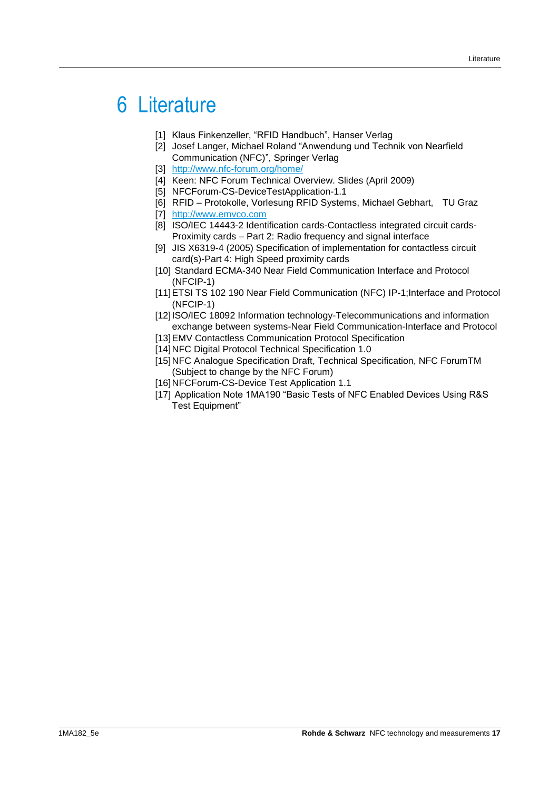## <span id="page-16-0"></span>6 Literature

- [1] Klaus Finkenzeller, "RFID Handbuch", Hanser Verlag
- [2] Josef Langer, Michael Roland "Anwendung und Technik von Nearfield Communication (NFC)", Springer Verlag
- [3] [http://www.nfc-forum.org/home/](%5b1%5d%09http:/www.nfc-forum.org/home/)
- [4] Keen: NFC Forum Technical Overview. Slides (April 2009)
- [5] NFCForum-CS-DeviceTestApplication-1.1
- <span id="page-16-2"></span>[6] RFID – Protokolle, Vorlesung RFID Systems, Michael Gebhart, TU Graz
- <span id="page-16-4"></span>[7] [http://www.emvco.com](http://www.emvco.com/)
- [8] ISO/IEC 14443-2 Identification cards-Contactless integrated circuit cards-Proximity cards – Part 2: Radio frequency and signal interface
- [9] JIS X6319-4 (2005) Specification of implementation for contactless circuit card(s)-Part 4: High Speed proximity cards
- [10] Standard ECMA-340 Near Field Communication Interface and Protocol (NFCIP-1)
- [11]ETSI TS 102 190 Near Field Communication (NFC) IP-1;Interface and Protocol (NFCIP-1)
- [12] ISO/IEC 18092 Information technology-Telecommunications and information exchange between systems-Near Field Communication-Interface and Protocol
- [13]EMV Contactless Communication Protocol Specification
- [14]NFC Digital Protocol Technical Specification 1.0
- <span id="page-16-1"></span>[15]NFC Analogue Specification Draft, Technical Specification, NFC ForumTM (Subject to change by the NFC Forum)
- <span id="page-16-3"></span>[16]NFCForum-CS-Device Test Application 1.1
- [17] Application Note 1MA190 "Basic Tests of NFC Enabled Devices Using R&S Test Equipment"